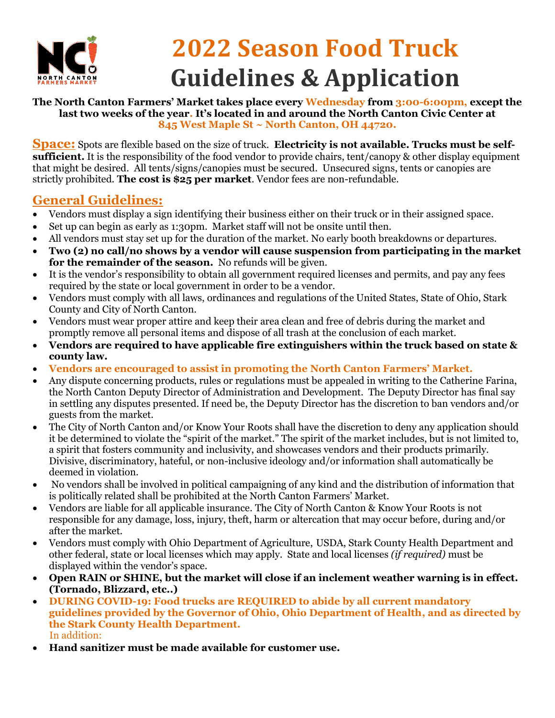

## **2022 Season Food Truck Guidelines & Application**

#### **The North Canton Farmers' Market takes place every Wednesday from 3:00-6:00pm, except the last two weeks of the year. It's located in and around the North Canton Civic Center at 845 West Maple St ~ North Canton, OH 44720.**

**Space:** Spots are flexible based on the size of truck. **Electricity is not available. Trucks must be selfsufficient.** It is the responsibility of the food vendor to provide chairs, tent/canopy & other display equipment that might be desired. All tents/signs/canopies must be secured. Unsecured signs, tents or canopies are strictly prohibited. **The cost is \$25 per market**. Vendor fees are non-refundable.

### **General Guidelines:**

- Vendors must display a sign identifying their business either on their truck or in their assigned space.
- Set up can begin as early as 1:30pm. Market staff will not be onsite until then.
- All vendors must stay set up for the duration of the market. No early booth breakdowns or departures.
- **Two (2) no call/no shows by a vendor will cause suspension from participating in the market for the remainder of the season.** No refunds will be given.
- It is the vendor's responsibility to obtain all government required licenses and permits, and pay any fees required by the state or local government in order to be a vendor.
- Vendors must comply with all laws, ordinances and regulations of the United States, State of Ohio, Stark County and City of North Canton.
- Vendors must wear proper attire and keep their area clean and free of debris during the market and promptly remove all personal items and dispose of all trash at the conclusion of each market.
- **Vendors are required to have applicable fire extinguishers within the truck based on state & county law.**
- **Vendors are encouraged to assist in promoting the North Canton Farmers' Market.**
- Any dispute concerning products, rules or regulations must be appealed in writing to the Catherine Farina, the North Canton Deputy Director of Administration and Development. The Deputy Director has final say in settling any disputes presented. If need be, the Deputy Director has the discretion to ban vendors and/or guests from the market.
- The City of North Canton and/or Know Your Roots shall have the discretion to deny any application should it be determined to violate the "spirit of the market." The spirit of the market includes, but is not limited to, a spirit that fosters community and inclusivity, and showcases vendors and their products primarily. Divisive, discriminatory, hateful, or non-inclusive ideology and/or information shall automatically be deemed in violation.
- No vendors shall be involved in political campaigning of any kind and the distribution of information that is politically related shall be prohibited at the North Canton Farmers' Market.
- Vendors are liable for all applicable insurance. The City of North Canton & Know Your Roots is not responsible for any damage, loss, injury, theft, harm or altercation that may occur before, during and/or after the market.
- Vendors must comply with Ohio Department of Agriculture, USDA, Stark County Health Department and other federal, state or local licenses which may apply. State and local licenses *(if required)* must be displayed within the vendor's space.
- **Open RAIN or SHINE, but the market will close if an inclement weather warning is in effect. (Tornado, Blizzard, etc..)**
- **DURING COVID-19: Food trucks are REQUIRED to abide by all current mandatory guidelines provided by the Governor of Ohio, Ohio Department of Health, and as directed by the Stark County Health Department.**  In addition:
- **Hand sanitizer must be made available for customer use.**